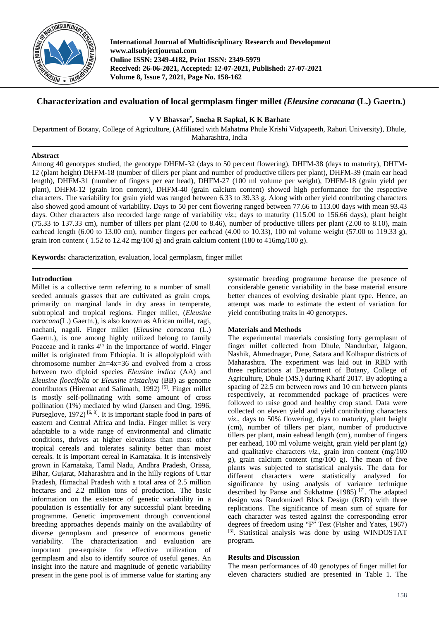

**International Journal of Multidisciplinary Research and Development www.allsubjectjournal.com Online ISSN: 2349-4182, Print ISSN: 2349-5979 Received: 26-06-2021, Accepted: 12-07-2021, Published: 27-07-2021 Volume 8, Issue 7, 2021, Page No. 158-162**

# **Characterization and evaluation of local germplasm finger millet** *(Eleusine coracana* **(L.) Gaertn.)**

**V V Bhavsar\* , Sneha R Sapkal, K K Barhate**

Department of Botany, College of Agriculture, (Affiliated with Mahatma Phule Krishi Vidyapeeth, Rahuri University), Dhule, Maharashtra, India

### **Abstract**

Among 40 genotypes studied, the genotype DHFM-32 (days to 50 percent flowering), DHFM-38 (days to maturity), DHFM-12 (plant height) DHFM-18 (number of tillers per plant and number of productive tillers per plant), DHFM-39 (main ear head length), DHFM-31 (number of fingers per ear head), DHFM-27 (100 ml volume per weight), DHFM-18 (grain yield per plant), DHFM-12 (grain iron content), DHFM-40 (grain calcium content) showed high performance for the respective characters. The variability for grain yield was ranged between 6.33 to 39.33 g. Along with other yield contributing characters also showed good amount of variability. Days to 50 per cent flowering ranged between 77.66 to 113.00 days with mean 93.43 days. Other characters also recorded large range of variability *viz*.; days to maturity (115.00 to 156.66 days), plant height (75.33 to 137.33 cm), number of tillers per plant (2.00 to 8.46), number of productive tillers per plant (2.00 to 8.10), main earhead length (6.00 to 13.00 cm), number fingers per earhead (4.00 to 10.33), 100 ml volume weight (57.00 to 119.33 g), grain iron content (  $1.52$  to  $12.42$  mg/100 g) and grain calcium content (180 to  $416$ mg/100 g).

**Keywords:** characterization, evaluation, local germplasm, finger millet

## **Introduction**

Millet is a collective term referring to a number of small seeded annuals grasses that are cultivated as grain crops, primarily on marginal lands in dry areas in temperate, subtropical and tropical regions. Finger millet, (*Eleusine coracana*(L.) Gaertn.), is also known as African millet, ragi, nachani, nagali. Finger millet (*Eleusine coracana* (L.) Gaertn.), is one among highly utilized belong to family Poaceae and it ranks  $4<sup>th</sup>$  in the importance of world. Finger millet is originated from Ethiopia. It is allopolyploid with chromosome number 2n=4x=36 and evolved from a cross between two diploid species *Eleusine indica* (AA) and *Eleusine floccifolia* or *Eleusine tristachya* (BB) as genome contributors (Hiremat and Salimath, 1992)<sup>[5]</sup>. Finger millet is mostly self-pollinating with some amount of cross pollination (1%) mediated by wind (Jansen and Ong, 1996, Purseglove, 1972)<sup>[6, 8]</sup>. It is important staple food in parts of eastern and Central Africa and India. Finger millet is very adaptable to a wide range of environmental and climatic conditions, thrives at higher elevations than most other tropical cereals and tolerates salinity better than moist cereals. It is important cereal in Karnataka. It is intensively grown in Karnataka, Tamil Nadu, Andhra Pradesh, Orissa, Bihar, Gujarat, Maharashtra and in the hilly regions of Uttar Pradesh, Himachal Pradesh with a total area of 2.5 million hectares and 2.2 million tons of production. The basic information on the existence of genetic variability in a population is essentially for any successful plant breeding programme. Genetic improvement through conventional breeding approaches depends mainly on the availability of diverse germplasm and presence of enormous genetic variability. The characterization and evaluation are important pre-requisite for effective utilization of germplasm and also to identify source of useful genes. An insight into the nature and magnitude of genetic variability present in the gene pool is of immerse value for starting any

systematic breeding programme because the presence of considerable genetic variability in the base material ensure better chances of evolving desirable plant type. Hence, an attempt was made to estimate the extent of variation for yield contributing traits in 40 genotypes.

## **Materials and Methods**

The experimental materials consisting forty germplasm of finger millet collected from Dhule, Nandurbar, Jalgaon, Nashik, Ahmednagar, Pune, Satara and Kolhapur districts of Maharashtra. The experiment was laid out in RBD with three replications at Department of Botany, College of Agriculture, Dhule (MS.) during Kharif 2017. By adopting a spacing of 22.5 cm between rows and 10 cm between plants respectively, at recommended package of practices were followed to raise good and healthy crop stand. Data were collected on eleven yield and yield contributing characters *viz*., days to 50% flowering, days to maturity, plant height (cm), number of tillers per plant, number of productive tillers per plant, main eahead length (cm), number of fingers per earhead, 100 ml volume weight, grain yield per plant (g) and qualitative characters *viz*., grain iron content (mg/100 g), grain calcium content (mg/100 g). The mean of five plants was subjected to statistical analysis. The data for different characters were statistically analyzed for significance by using analysis of variance technique described by Panse and Sukhatme (1985)<sup>[7]</sup>. The adapted design was Randomized Block Design (RBD) with three replications. The significance of mean sum of square for each character was tested against the corresponding error degrees of freedom using "F" Test (Fisher and Yates, 1967) [3] . Statistical analysis was done by using WINDOSTAT program.

### **Results and Discussion**

The mean performances of 40 genotypes of finger millet for eleven characters studied are presented in Table 1. The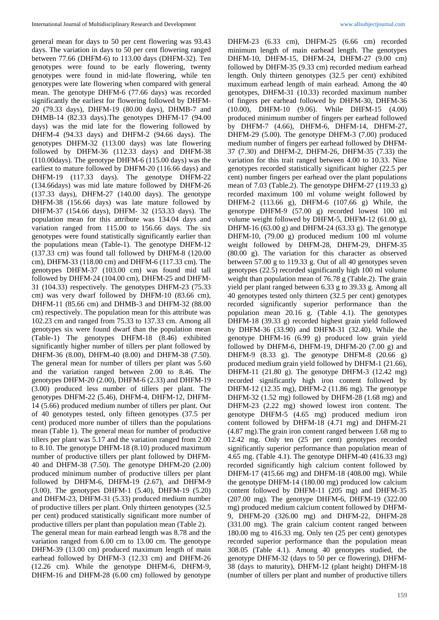general mean for days to 50 per cent flowering was 93.43 days. The variation in days to 50 per cent flowering ranged between 77.66 (DHFM-6) to 113.00 days (DHFM-32). Ten genotypes were found to be early flowering, twenty genotypes were found in mid-late flowering, while ten genotypes were late flowering when compared with general mean. The genotype DHFM-6 (77.66 days) was recorded significantly the earliest for flowering followed by DHFM-20 (79.33 days), DHFM-19 (80.00 days), DHMB-7 and DHMB-14 (82.33 days).The genotypes DHFM-17 (94.00 days) was the mid late for the flowering followed by DHFM-4 (94.33 days) and DHFM-2 (94.66 days). The genotypes DHFM-32 (113.00 days) was late flowering followed by DHFM-36 (112.33 days) and DHFM-38 (110.00days). The genotype DHFM-6 (115.00 days) was the earliest to mature followed by DHFM-20 (116.66 days) and DHFM-19 (117.33 days). The genotype DHFM-22 (134.66days) was mid late mature followed by DHFM-26 (137.33 days), DHFM-27 (140.00 days). The genotype DHFM-38 (156.66 days) was late mature followed by DHFM-37 (154.66 days), DHFM- 32 (153.33 days). The population mean for this attribute was 134.04 days and variation ranged from 115.00 to 156.66 days. The six genotypes were found statistically significantly earlier than the populations mean (Table-1). The genotype DHFM-12 (137.33 cm) was found tall followed by DHFM-8 (120.00 cm), DHFM-33 (118.00 cm) and DHFM-6 (117.33 cm). The genotypes DHFM-37 (103.00 cm) was found mid tall followed by DHFM-24 (104.00 cm), DHFM-25 and DHFM-31 (104.33) respectively. The genotypes DHFM-23 (75.33 cm) was very dwarf followed by DHFM-10 (83.66 cm), DHFM-11 (85.66 cm) and DHMB-3 and DHFM-32 (88.00 cm) respectively. The population mean for this attribute was 102.23 cm and ranged from 75.33 to 137.33 cm. Among all genotypes six were found dwarf than the population mean (Table-1) The genotypes DHFM-18 (8.46) exhibited significantly higher number of tillers per plant followed by DHFM-36 (8.00), DHFM-40 (8.00) and DHFM-38 (7.50). The general mean for number of tillers per plant was 5.60 and the variation ranged between 2.00 to 8.46. The genotypes DHFM-20 (2.00), DHFM-6 (2.33) and DHFM-19 (3.00) produced less number of tillers per plant. The genotypes DHFM-22 (5.46), DHFM-4, DHFM-12, DHFM-14 (5.66) produced medium number of tillers per plant. Out of 40 genotypes tested, only fifteen genotypes (37.5 per cent) produced more number of tillers than the populations mean (Table 1). The general mean for number of productive tillers per plant was 5.17 and the variation ranged from 2.00 to 8.10. The genotype DHFM-18 (8.10) produced maximum number of productive tillers per plant followed by DHFM-40 and DHFM-38 (7.50). The genotype DHFM-20 (2.00) produced minimum number of productive tillers per plant followed by DHFM-6, DHFM-19 (2.67), and DHFM-9 (3.00). The genotypes DHFM-1 (5.40), DHFM-19 (5.20) and DHFM-23, DHFM-31 (5.33) produced medium number of productive tillers per plant. Only thirteen genotypes (32.5 per cent) produced statistically significant more number of productive tillers per plant than population mean (Table 2). The general mean for main earhead length was 8.78 and the

variation ranged from 6.00 cm to 13.00 cm. The genotype DHFM-39 (13.00 cm) produced maximum length of main earhead followed by DHFM-3 (12.33 cm) and DHFM-26 (12.26 cm). While the genotype DHFM-6, DHFM-9, DHFM-16 and DHFM-28 (6.00 cm) followed by genotype

DHFM-23 (6.33 cm), DHFM-25 (6.66 cm) recorded minimum length of main earhead length. The genotypes DHFM-10, DHFM-15, DHFM-24, DHFM-27 (9.00 cm) followed by DHFM-35 (9.33 cm) recorded medium earhead length. Only thirteen genotypes (32.5 per cent) exhibited maximum earhead length of main earhead. Among the 40 genotypes, DHFM-31 (10.33) recorded maximum number of fingers per earhead followed by DHFM-30, DHFM-36 (10.00), DHFM-10 (9.06). While DHFM-15 (4.00) produced minimum number of fingers per earhead followed by DHFM-7 (4.66), DHFM-6, DHFM-14, DHFM-27, DHFM-29 (5.00). The genotype DHFM-3 (7.00) produced medium number of fingers per earhead followed by DHFM-37 (7.30) and DHFM-2, DHFM-26, DHFM-35 (7.33) the variation for this trait ranged between 4.00 to 10.33. Nine genotypes recorded statistically significant higher (22.5 per cent) number fingers per earhead over the plant populations mean of 7.03 (Table.2). The genotype DHFM-27 (119.33 g) recorded maximum 100 ml volume weight followed by DHFM-2 (113.66 g), DHFM-6 (107.66 g) While, the genotype DHFM-9 (57.00 g) recorded lowest 100 ml volume weight followed by DHFM-5, DHFM-12 (61.00 g), DHFM-16 (63.00 g) and DHFM-24 (63.33 g). The genotype DHFM-10, (79.00 g) produced medium 100 ml volume weight followed by DHFM-28, DHFM-29, DHFM-35 (80.00 g). The variation for this character as observed between 57.00 g to 119.33 g. Out of all 40 genotypes seven genotypes (22.5) recorded significantly high 100 ml volume weight than population mean of 76.78 g (Table.2). The grain yield per plant ranged between 6.33 g to 39.33 g. Among all 40 genotypes tested only thirteen (32.5 per cent) genotypes recorded significantly superior performance than the population mean 20.16 g. (Table 4.1). The genotypes DHFM-18 (39.33 g) recorded highest grain yield followed by DHFM-36 (33.90) and DHFM-31 (32.40). While the genotype DHFM-16 (6.99 g) produced low grain yield followed by DHFM-6, DHFM-19, DHFM-20  $(7.00 \text{ g})$  and DHFM-9 (8.33 g). The genotype DHFM-8 (20.66 g) produced medium grain yield followed by DHFM-1 (21.66), DHFM-11 (21.80 g). The genotype DHFM-3 (12.42 mg) recorded significantly high iron content followed by DHFM-12 (12.35 mg), DHFM-2 (11.86 mg). The genotype DHFM-32 (1.52 mg) followed by DHFM-28 (1.68 mg) and DHFM-23 (2.22 mg) showed lowest iron content. The genotype DHFM-5 (4.65 mg) produced medium iron content followed by DHFM-18 (4.71 mg) and DHFM-21 (4.87 mg).The grain iron content ranged between 1.68 mg to 12.42 mg. Only ten (25 per cent) genotypes recorded significantly superior performance than population mean of 4.65 mg. (Table 4.1). The genotype DHFM-40 (416.33 mg) recorded significantly high calcium content followed by DHFM-17 (415.66 mg) and DHFM-18 (408.00 mg). While the genotype DHFM-14 (180.00 mg) produced low calcium content followed by DHFM-11 (205 mg) and DHFM-35 (207.00 mg). The genotype DHFM-6, DHFM-19 (322.00 mg) produced medium calcium content followed by DHFM-9, DHFM-20 (326.00 mg) and DHFM-22, DHFM-28 (331.00 mg). The grain calcium content ranged between 180.00 mg to 416.33 mg. Only ten (25 per cent) genotypes recorded superior performance than the population mean 308.05 (Table 4.1). Among 40 genotypes studied, the genotype DHFM-32 (days to 50 per ce flowering), DHFM-38 (days to maturity), DHFM-12 (plant height) DHFM-18 (number of tillers per plant and number of productive tillers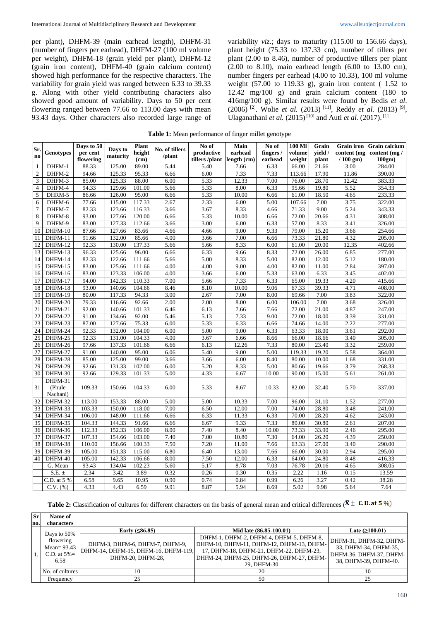per plant), DHFM-39 (main earhead length), DHFM-31 (number of fingers per earhead), DHFM-27 (100 ml volume per weight), DHFM-18 (grain yield per plant), DHFM-12 (grain iron content), DHFM-40 (grain calcium content) showed high performance for the respective characters. The variability for grain yield was ranged between 6.33 to 39.33 g. Along with other yield contributing characters also showed good amount of variability. Days to 50 per cent flowering ranged between 77.66 to 113.00 days with mean 93.43 days. Other characters also recorded large range of variability *viz*.; days to maturity (115.00 to 156.66 days), plant height (75.33 to 137.33 cm), number of tillers per plant (2.00 to 8.46), number of productive tillers per plant (2.00 to 8.10), main earhead length (6.00 to 13.00 cm), number fingers per earhead (4.00 to 10.33), 100 ml volume weight (57.00 to 119.33 g), grain iron content ( 1.52 to 12.42 mg/100 g) and grain calcium content (180 to 416mg/100 g). Similar results were found by Bedis *et al*. (2006)<sup>[2]</sup>. Wolie *et al.* (2013)<sup>[11]</sup>, Reddy *et al.* (2013)<sup>[9]</sup>, Ulaganathani *et al.* (2015)<sup>[10]</sup> and Auti *et al.* (2017).<sup>[1]</sup>

| Table 1: Mean performance of finger millet genotype |  |  |
|-----------------------------------------------------|--|--|
|                                                     |  |  |

|                 |                   | Days to 50 |          | <b>Plant</b> | No. of tillers | No of          | Main        | No of    | 100 MI | Grain   | <b>Grain</b> iron | <b>Grain calcium</b> |
|-----------------|-------------------|------------|----------|--------------|----------------|----------------|-------------|----------|--------|---------|-------------------|----------------------|
| Sr.             | Genotypes         | per cent   | Days to  | height       |                | productive     | earhead     | fingers/ | volume | vield / | content (mg       | content $(mg)$       |
| n <sub>0</sub>  |                   | flowering  | maturity | (cm)         | /plant         | tillers /plant | length (cm) | earhead  | weight | plant   | $/100$ gm)        | 100gm)               |
| $\mathbf{1}$    | DHFM-1            | 88.33      | 125.00   | 89.00        | 5.44           | 5.40           | 7.66        | 6.33     | 66.00  | 21.66   | 3.00              | 284.00               |
| $\sqrt{2}$      | DHFM-2            | 94.66      | 125.33   | 95.33        | 6.66           | 6.00           | 7.33        | 7.33     | 113.66 | 17.90   | 11.86             | 390.00               |
| 3               | DHFM-3            | 85.00      | 125.33   | 88.00        | 6.00           | 5.33           | 12.33       | 7.00     | 76.00  | 28.70   | 12.42             | 383.33               |
| $\overline{4}$  | DHFM-4            | 94.33      | 129.66   | 101.00       | 5.66           | 5.33           | 8.00        | 6.33     | 95.66  | 19.80   | 5.52              | 354.33               |
| 5               | DHRM-5            | 86.66      | 126.00   | 95.00        | 6.66           | 5.33           | 10.00       | 6.66     | 61.00  | 18.50   | 4.65              | 233.33               |
| 6               | DHFM-6            | 77.66      | 115.00   | 117.33       | 2.67           | 2.33           | 6.00        | 5.00     | 107.66 | 7.00    | 3.75              | 322.00               |
| $7\phantom{.0}$ | DHFM-7            | 82.33      | 123.66   | 116.33       | 3.66           | 3.67           | 8.33        | 4.66     | 71.33  | 9.00    | 5.24              | 343.33               |
| $\sqrt{8}$      | DHFM-8            | 93.00      | 127.66   | 120.00       | 6.66           | 5.33           | 10.00       | 6.66     | 72.00  | 20.66   | 4.31              | 308.00               |
| 9               | DHFM-9            | 83.00      | 127.33   | 112.66       | 3.66           | 3.00           | 6.00        | 6.33     | 57.00  | 8.33    | 3.41              | 326.00               |
| 10              | DHFM-10           | 87.66      | 127.66   | 83.66        | 4.66           | 4.66           | 9.00        | 9.33     | 79.00  | 15.20   | 3.66              | 254.66               |
| 11              | DHFM-11           | 91.66      | 132.00   | 85.66        | 4.00           | 3.66           | 7.00        | 6.66     | 73.33  | 21.80   | 4.32              | 205.00               |
| 12              | DHFM-12           | 92.33      | 130.00   | 137.33       | 5.66           | 5.66           | 8.33        | 6.00     | 61.00  | 20.00   | 12.35             | 402.66               |
| 13              | DHFM-13           | 96.33      | 125.66   | 96.00        | 6.66           | 6.33           | 9.66        | 8.33     | 72.00  | 26.00   | 6.85              | 277.00               |
| 14              | DHFM-14           | 82.33      | 122.66   | 111.66       | 5.66           | 5.00           | 8.33        | 5.00     | 82.00  | 12.00   | 5.12              | 180.00               |
| 15              | DHFM-15           | 83.00      | 125.66   | 111.66       | 4.00           | 4.00           | 9.00        | 4.00     | 82.00  | 11.00   | 2.84              | 397.00               |
| 16              | DHFM-16           | 83.00      | 123.33   | 106.00       | 4.00           | 3.66           | 6.00        | 5.33     | 63.00  | 6.33    | 3.45              | 402.00               |
| 17              | DHFM-17           | 94.00      | 142.33   | 110.33       | 7.00           | 5.66           | 7.33        | 6.33     | 65.00  | 19.33   | 4.20              | 415.66               |
| 18              | DHFM-18           | 93.00      | 140.66   | 104.66       | 8.46           | 8.10           | 10.00       | 9.06     | 67.33  | 39.33   | 4.71              | 408.00               |
| 19              | DHFM-19           | 80.00      | 117.33   | 94.33        | 3.00           | 2.67           | 7.00        | 8.00     | 69.66  | 7.00    | 3.83              | 322.00               |
| 20              | $DHFM-20$         | 79.33      | 116.66   | 92.66        | 2.00           | 2.00           | 8.00        | 6.00     | 106.00 | 7.00    | 3.68              | 326.00               |
| 21              | DHFM-21           | 92.00      | 140.66   | 101.33       | 6.46           | 6.13           | 7.66        | 7.66     | 72.00  | 21.00   | 4.87              | 247.00               |
| 22              | DHFM-22           | 91.00      | 134.66   | 92.00        | 5.46           | 5.13           | 7.33        | 9.00     | 72.00  | 18.00   | 3.39              | 331.00               |
| 23              | DHFM-23           | 87.00      | 127.66   | 75.33        | 6.00           | 5.33           | 6.33        | 6.66     | 74.66  | 14.00   | 2.22              | 277.00               |
| 24              | DHFM-24           | 92.33      | 132.00   | 104.00       | 6.00           | 5.00           | 9.00        | 6.33     | 63.33  | 18.00   | 3.61              | 292.00               |
| $\overline{25}$ | DHFM-25           | 92.33      | 131.00   | 104.33       | 4.00           | 3.67           | 6.66        | 8.66     | 66.00  | 18.66   | 3.40              | 305.00               |
| 26              | DHFM-26           | 97.66      | 137.33   | 101.66       | 6.66           | 6.13           | 12.26       | 7.33     | 80.00  | 23.40   | 3.32              | 259.00               |
| 27              | DHFM-27           | 91.00      | 140.00   | 95.00        | 6.06           | 5.40           | 9.00        | 5.00     | 119.33 | 19.20   | 5.58              | 364.00               |
| 28              | DHFM-28           | 85.00      | 125.00   | 99.00        | 3.66           | 3.66           | 6.00        | 8.40     | 80.00  | 10.00   | 1.68              | 331.00               |
| 29              | DHFM-29           | 92.66      | 131.33   | 102.00       | 6.00           | 5.20           | 8.33        | 5.00     | 80.66  | 19.66   | 3.79              | 268.33               |
| 30              | DHFM-30           | 92.66      | 129.33   | 101.33       | 5.00           | 4.33           | 6.67        | 10.00    | 90.00  | 15.00   | 5.61              | 261.00               |
| 31              | DHFM-31<br>(Phule | 109.33     | 150.66   | 104.33       | 6.00           | 5.33           |             |          | 82.00  | 32.40   |                   |                      |
|                 | Nachani)          |            |          |              |                |                | 8.67        | 10.33    |        |         | 5.70              | 337.00               |
| 32              | DHFM-32           | 113.00     | 153.33   | 88.00        | 5.00           | 5.00           | 10.33       | 7.00     | 96.00  | 31.10   | 1.52              | 277.00               |
| 33              | DHFM-33           | 103.33     | 150.00   | 118.00       | 7.00           | 6.50           | 12.00       | 7.00     | 74.00  | 28.80   | 3.48              | 241.00               |
| 34              | DHFM-34           | 106.00     | 148.00   | 111.66       | 6.66           | 6.33           | 11.33       | 6.33     | 70.00  | 28.20   | 4.62              | 243.00               |
| 35              | DHFM-35           | 104.33     | 144.33   | 91.66        | 6.66           | 6.67           | 9.33        | 7.33     | 80.00  | 30.80   | 2.61              | 207.00               |
| 36              | DHFM-36           | 112.33     | 152.33   | 106.00       | 8.00           | 7.40           | 8.40        | 10.00    | 73.33  | 33.90   | 2.46              | 295.00               |
| 37              | DHFM-37           | 107.33     | 154.66   | 103.00       | 7.40           | 7.00           | 10.80       | 7.30     | 64.00  | 26.20   | 4.39              | 250.00               |
| 38              | DHFM-38           | 110.00     | 156.66   | 100.33       | 7.50           | 7.20           | 11.00       | 7.66     | 63.33  | 27.00   | 3.40              | 290.00               |
| 39              | DHFM-39           | 105.00     | 151.33   | 115.00       | 6.80           | 6.40           | 13.00       | 7.66     | 66.00  | 30.00   | 2.94              | 295.00               |
| 40              | DHFM-40           | 105.00     | 142.33   | 106.66       | 8.00           | 7.50           | 12.00       | 6.33     | 64.00  | 24.80   | 8.48              | 416.33               |
|                 | G. Mean           | 93.43      | 134.04   | 102.23       | 5.60           | 5.17           | 8.78        | 7.03     | 76.78  | 20.16   | 4.65              | 308.05               |
|                 | $S.E. \pm$        | 2.34       | 3.42     | 3.89         | 0.32           | 0.26           | 0.30        | 0.35     | 2.22   | 1.16    | 0.15              | 13.59                |
|                 | C.D. at 5 %       | 6.58       | 9.65     | 10.95        | 0.90           | 0.74           | 0.84        | 0.99     | 6.26   | 3.27    | 0.42              | 38.28                |
|                 | $C.V.$ $(\% )$    | 4.33       | 4.43     | 6.59         | 9.91           | 8.87           | 5.94        | 8.69     | 5.02   | 9.98    | 5.64              | 7.64                 |

**Table 2:** Classification of cultures for different characters on the basis of general mean and critical differences ( $\overline{\mathbf{X}} \pm \mathbf{C}$ . **D.** at 5 %)

**Sr no. Name of characters** 1. Days to 50% flowering Mean= 93.43 C.D. at  $5\% =$ 6.58 **Early (≤86.85) Mid late (86.85-100.01) Late (≥100.01)** DHFM-3, DHFM-6, DHFM-7, DHFM-9, DHFM-14, DHFM-15, DHFM-16, DHFM-119, DHFM-20, DHFM-28, DHFM-1, DHFM-2, DHFM-4, DHFM-5, DHFM-8, DHFM-10, DHFM-11, DHFM-12, DHFM-13, DHFM-17, DHFM-18, DHFM-21, DHFM-22, DHFM-23, DHFM-24, DHFM-25, DHFM-26, DHFM-27, DHFM-29, DHFM-30 DHFM-31, DHFM-32, DHFM-33, DHFM-34, DHFM-35, DHFM-36, DHFM-37, DHFM-38, DHFM-39, DHFM-40. No. of cultures  $10 \t 10$  20 20 10 Frequency  $25$  25  $25$  50  $25$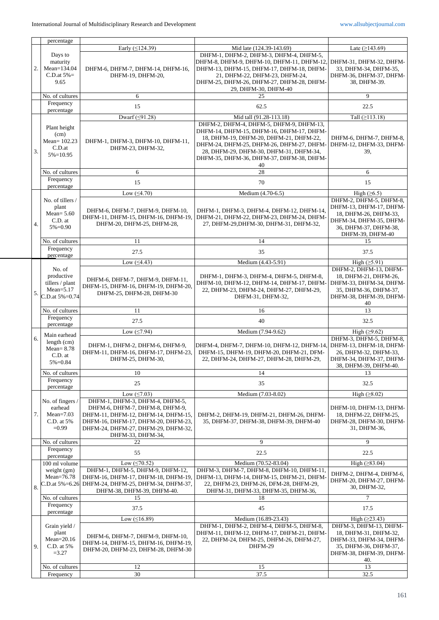|                  | percentage                                                                         |                                                                                                                                                                                                              |                                                                                                                                                                                                                                                                             |                                                                                                                                                     |
|------------------|------------------------------------------------------------------------------------|--------------------------------------------------------------------------------------------------------------------------------------------------------------------------------------------------------------|-----------------------------------------------------------------------------------------------------------------------------------------------------------------------------------------------------------------------------------------------------------------------------|-----------------------------------------------------------------------------------------------------------------------------------------------------|
|                  |                                                                                    | Early ( $\leq$ 124.39)                                                                                                                                                                                       | Mid late (124.39-143.69)                                                                                                                                                                                                                                                    | Late $(≥143.69)$                                                                                                                                    |
| $\overline{2}$ . | Days to<br>maturity<br>Mean=134.04<br>C.D.at $5\%$ =<br>9.65                       | DHFM-6, DHFM-7, DHFM-14, DHFM-16,<br>DHFM-19, DHFM-20,                                                                                                                                                       | DHFM-1, DHFM-2, DHFM-3, DHFM-4, DHFM-5,<br>DHFM-8, DHFM-9, DHFM-10, DHFM-11, DHFM-12,<br>DHFM-13, DHFM-15, DHFM-17, DHFM-18, DHFM-<br>21, DHFM-22, DHFM-23, DHFM-24,<br>DHFM-25, DHFM-26, DHFM-27, DHFM-28, DHFM-<br>29, DHFM-30, DHFM-40                                   | DHFM-31, DHFM-32, DHFM-<br>33, DHFM-34, DHFM-35,<br>DHFM-36, DHFM-37, DHFM-<br>38, DHFM-39.                                                         |
|                  | No. of cultures                                                                    | 6                                                                                                                                                                                                            | 25                                                                                                                                                                                                                                                                          | 9                                                                                                                                                   |
|                  | Frequency                                                                          | 15                                                                                                                                                                                                           | 62.5                                                                                                                                                                                                                                                                        | 22.5                                                                                                                                                |
|                  | percentage                                                                         | Dwarf $(59.28)$                                                                                                                                                                                              | Mid tall (91.28-113.18)                                                                                                                                                                                                                                                     | Tall $(≥113.18)$                                                                                                                                    |
| 3.               | Plant height<br>(cm)<br>Mean= $102.23$<br>C.D.at<br>$5\% = 10.95$                  | DHFM-1, DHFM-3, DHFM-10, DHFM-11,<br>DHFM-23, DHFM-32,                                                                                                                                                       | DHFM-2, DHFM-4, DHFM-5, DHFM-9, DHFM-13,<br>DHFM-14, DHFM-15, DHFM-16, DHFM-17, DHFM-<br>18, DHFM-19, DHFM-20, DHFM-21, DHFM-22,<br>DHFM-24, DHFM-25, DHFM-26, DHFM-27, DHFM-<br>28, DHFM-29, DHFM-30, DHFM-31, DHFM-34,<br>DHFM-35, DHFM-36, DHFM-37, DHFM-38, DHFM-<br>40 | DHFM-6, DHFM-7, DHFM-8,<br>DHFM-12, DHFM-33, DHFM-<br>39,                                                                                           |
|                  | No. of cultures                                                                    | 6                                                                                                                                                                                                            | 28                                                                                                                                                                                                                                                                          | 6                                                                                                                                                   |
|                  | Frequency<br>percentage                                                            | 15                                                                                                                                                                                                           | 70                                                                                                                                                                                                                                                                          | 15                                                                                                                                                  |
|                  |                                                                                    | Low $(≤4.70)$                                                                                                                                                                                                | Medium (4.70-6.5)                                                                                                                                                                                                                                                           | High $(\geq 6.5)$                                                                                                                                   |
| 4.               | No. of tillers /<br>plant<br>Mean= $5.60$<br>C.D. at<br>$5\% = 0.90$               | DHFM-6, DHFM-7, DHFM-9, DHFM-10,<br>DHFM-11, DHFM-15, DHFM-16, DHFM-19,<br>DHFM-20, DHFM-25, DHFM-28,                                                                                                        | DHFM-1, DHFM-3, DHFM-4, DHFM-12, DHFM-14,<br>DHFM-21, DHFM-22, DHFM-23, DHFM-24, DHFM-<br>27, DHFM-29, DHFM-30, DHFM-31, DHFM-32,                                                                                                                                           | DHFM-2, DHFM-5, DHFM-8,<br>DHFM-13, DHFM-17, DHFM-<br>18, DHFM-26, DHFM-33,<br>DHFM-34, DHFM-35, DHFM-<br>36, DHFM-37, DHFM-38,<br>DHFM-39, DHFM-40 |
|                  | No. of cultures                                                                    | 11                                                                                                                                                                                                           | 14                                                                                                                                                                                                                                                                          | 15                                                                                                                                                  |
|                  | Frequency<br>percentage                                                            | 27.5                                                                                                                                                                                                         | 35                                                                                                                                                                                                                                                                          | 37.5                                                                                                                                                |
|                  |                                                                                    | Low $( \leq 4.43)$                                                                                                                                                                                           | Medium (4.43-5.91)                                                                                                                                                                                                                                                          | High $(\geq 5.91)$                                                                                                                                  |
| 5.               | No. of<br>productive<br>tillers / plant<br>$Mean = 5.17$<br>$C.D.$ at $5\% = 0.74$ | DHFM-6, DHFM-7, DHFM-9, DHFM-11,<br>DHFM-15, DHFM-16, DHFM-19, DHFM-20.<br>DHFM-25, DHFM-28, DHFM-30                                                                                                         | DHFM-1, DHFM-3, DHFM-4, DHFM-5, DHFM-8,<br>DHFM-10, DHFM-12, DHFM-14, DHFM-17, DHFM-<br>22, DHFM-23, DHFM-24, DHFM-27, DHFM-29,<br>DHFM-31, DHFM-32,                                                                                                                        | DHFM-2, DHFM-13, DHFM-<br>18, DHFM-21, DHFM-26,<br>DHFM-33, DHFM-34, DHFM-<br>35, DHFM-36, DHFM-37,<br>DHFM-38, DHFM-39, DHFM-<br>40                |
|                  | No. of cultures                                                                    | 11                                                                                                                                                                                                           | 16                                                                                                                                                                                                                                                                          | 13                                                                                                                                                  |
|                  | Frequency<br>percentage                                                            | 27.5                                                                                                                                                                                                         | 40                                                                                                                                                                                                                                                                          | 32.5                                                                                                                                                |
|                  | Main earhead                                                                       | Low $(\leq 7.94)$                                                                                                                                                                                            | Medium (7.94-9.62)                                                                                                                                                                                                                                                          | High $(≥9.62)$                                                                                                                                      |
| 6.               | length (cm)<br>$Mean = 8.78$<br>C.D. at<br>$5\% = 0.84$                            | DHFM-1, DHFM-2, DHFM-6, DHFM-9,<br>DHFM-11, DHFM-16, DHFM-17, DHFM-23,<br>DHFM-25, DHFM-30,                                                                                                                  | DHFM-4, DHFM-7, DHFM-10, DHFM-12, DHFM-14,<br>DHFM-15, DHFM-19, DHFM-20, DHFM-21, DFM-<br>22, DHFM-24, DHFM-27, DHFM-28, DHFM-29,                                                                                                                                           | DHFM-3, DHFM-5, DHFM-8,<br>DHFM-13, DHFM-18, DHFM-<br>26, DHFM-32, DHFM-33,<br>DHFM-34, DHFM-37, DHFM-<br>38, DHFM-39, DHFM-40.                     |
|                  | No. of cultures                                                                    | 10                                                                                                                                                                                                           | 14                                                                                                                                                                                                                                                                          | 13                                                                                                                                                  |
|                  | Frequency<br>percentage                                                            | 25                                                                                                                                                                                                           | 35                                                                                                                                                                                                                                                                          | 32.5                                                                                                                                                |
|                  |                                                                                    | Low $(\leq 7.03)$                                                                                                                                                                                            | Medium (7.03-8.02)                                                                                                                                                                                                                                                          | High $(\geq 8.02)$                                                                                                                                  |
| 7.               | No. of fingers /<br>earhead<br>$Mean=7.03$<br>C.D. at 5%<br>$=0.99$                | DHFM-1, DHFM-3, DHFM-4, DHFM-5,<br>DHFM-6, DHFM-7, DHFM-8, DHFM-9,<br>DHFM-11, DHFM-12, DHFM-14, DHFM-15.<br>DHFM-16, DHFM-17, DHFM-20, DHFM-23,<br>DHFM-24, DHFM-27, DHFM-29, DHFM-32,<br>DHFM-33, DHFM-34, | DHFM-2, DHFM-19, DHFM-21, DHFM-26, DHFM-<br>35, DHFM-37, DHFM-38, DHFM-39, DHFM-40                                                                                                                                                                                          | DHFM-10, DHFM-13, DHFM-<br>18, DHFM-22, DHFM-25,<br>DHFM-28, DHFM-30, DHFM-<br>31, DHFM-36,                                                         |
|                  | No. of cultures                                                                    | 22                                                                                                                                                                                                           | 9                                                                                                                                                                                                                                                                           | 9                                                                                                                                                   |
|                  | Frequency<br>percentage                                                            | 55                                                                                                                                                                                                           | 22.5                                                                                                                                                                                                                                                                        | 22.5                                                                                                                                                |
|                  | 100 ml volume                                                                      | Low $( \le 70.52)$                                                                                                                                                                                           | Medium (70.52-83.04)                                                                                                                                                                                                                                                        | High $(≥83.04)$                                                                                                                                     |
| 8.               | weight (gm)<br>Mean=76.78<br>C.D.at 5%=6.26                                        | DHFM-1, DHFM-5, DHFM-9, DHFM-12,<br>DHFM-16, DHFM-17, DHFM-18, DHFM-19.<br>DHFM-24, DHFM-25, DHFM-34, DHFM-37,<br>DHFM-38, DHFM-39, DHFM-40.                                                                 | DHFM-3, DHFM-7, DHFM-8, DHFM-10, DHFM-11,<br>DHFM-13, DHFM-14, DHFM-15, DHFM-21, DHFM-<br>22, DHFM-23, DHFM-26, DFM-28, DHFM-29,<br>DHFM-31, DHFM-33, DHFM-35, DHFM-36,                                                                                                     | DHFM-2, DHFM-4, DHFM-6,<br>DHFM-20, DHFM-27, DHFM-<br>30, DHFM-32,                                                                                  |
|                  | No. of cultures                                                                    | 15                                                                                                                                                                                                           | 18                                                                                                                                                                                                                                                                          | 7                                                                                                                                                   |
|                  | Frequency<br>percentage                                                            | 37.5                                                                                                                                                                                                         | 45                                                                                                                                                                                                                                                                          | 17.5                                                                                                                                                |
|                  | Grain yield /<br>plant                                                             | Low $(≤16.89)$<br>DHFM-6, DHFM-7, DHFM-9, DHFM-10,                                                                                                                                                           | Medium (16.89-23.43)<br>DHFM-1, DHFM-2, DHFM-4, DHFM-5, DHFM-8,<br>DHFM-11, DHFM-12, DHFM-17, DHFM-21, DHFM-                                                                                                                                                                | High $(\geq 23.43)$<br>DHFM-3, DHFM-13, DHFM-<br>18, DHFM-31, DHFM-32,                                                                              |
| 9.               | $Mean = 20.16$<br>C.D. at 5%<br>$=3.27$                                            | DHFM-14, DHFM-15, DHFM-16, DHFM-19,<br>DHFM-20, DHFM-23, DHFM-28, DHFM-30                                                                                                                                    | 22, DHFM-24, DHFM-25, DHFM-26, DHFM-27,<br>DHFM-29                                                                                                                                                                                                                          | DHFM-33, DHFM-34, DHFM-<br>35, DHFM-36, DHFM-37,<br>DHFM-38, DHFM-39, DHFM-<br>40.                                                                  |
|                  | No. of cultures                                                                    | 12                                                                                                                                                                                                           | 15                                                                                                                                                                                                                                                                          | 13                                                                                                                                                  |
|                  | Frequency                                                                          | 30                                                                                                                                                                                                           | 37.5                                                                                                                                                                                                                                                                        | 32.5                                                                                                                                                |